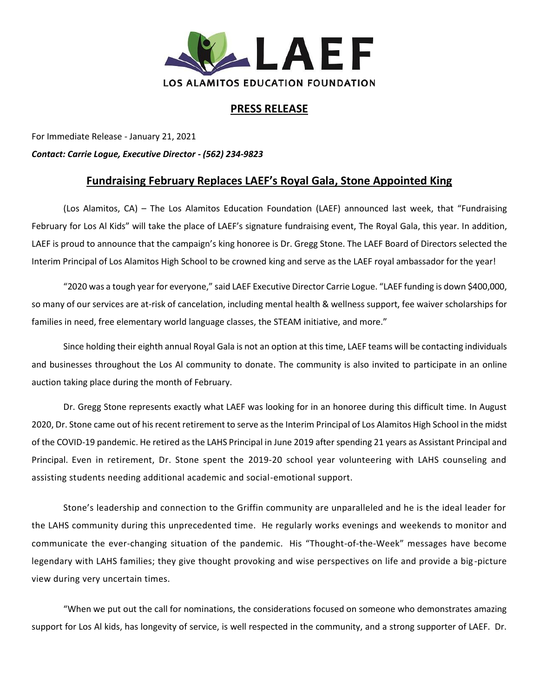

## **PRESS RELEASE**

For Immediate Release - January 21, 2021 *Contact: Carrie Logue, Executive Director - (562) 234-9823*

## **Fundraising February Replaces LAEF's Royal Gala, Stone Appointed King**

(Los Alamitos, CA) – The Los Alamitos Education Foundation (LAEF) announced last week, that "Fundraising February for Los Al Kids" will take the place of LAEF's signature fundraising event, The Royal Gala, this year. In addition, LAEF is proud to announce that the campaign's king honoree is Dr. Gregg Stone. The LAEF Board of Directors selected the Interim Principal of Los Alamitos High School to be crowned king and serve as the LAEF royal ambassador for the year!

"2020 was a tough year for everyone," said LAEF Executive Director Carrie Logue. "LAEF funding is down \$400,000, so many of our services are at-risk of cancelation, including mental health & wellness support, fee waiver scholarships for families in need, free elementary world language classes, the STEAM initiative, and more."

Since holding their eighth annual Royal Gala is not an option at this time, LAEF teams will be contacting individuals and businesses throughout the Los Al community to donate. The community is also invited to participate in an online auction taking place during the month of February.

Dr. Gregg Stone represents exactly what LAEF was looking for in an honoree during this difficult time. In August 2020, Dr. Stone came out of his recent retirement to serve as the Interim Principal of Los Alamitos High School in the midst of the COVID-19 pandemic. He retired as the LAHS Principal in June 2019 after spending 21 years as Assistant Principal and Principal. Even in retirement, Dr. Stone spent the 2019-20 school year volunteering with LAHS counseling and assisting students needing additional academic and social-emotional support.

Stone's leadership and connection to the Griffin community are unparalleled and he is the ideal leader for the LAHS community during this unprecedented time. He regularly works evenings and weekends to monitor and communicate the ever-changing situation of the pandemic. His "Thought-of-the-Week" messages have become legendary with LAHS families; they give thought provoking and wise perspectives on life and provide a big-picture view during very uncertain times.

"When we put out the call for nominations, the considerations focused on someone who demonstrates amazing support for Los Al kids, has longevity of service, is well respected in the community, and a strong supporter of LAEF. Dr.